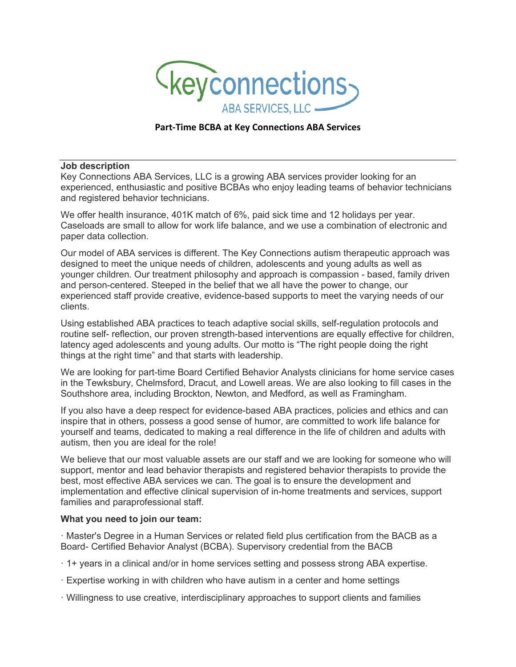

## **Part-Time BCBA at Key Connections ABA Services**

## **Job description**

Key Connections ABA Services, LLC is a growing ABA services provider looking for an experienced, enthusiastic and positive BCBAs who enjoy leading teams of behavior technicians and registered behavior technicians.

We offer health insurance, 401K match of 6%, paid sick time and 12 holidays per year. Caseloads are small to allow for work life balance, and we use a combination of electronic and paper data collection.

Our model of ABA services is different. The Key Connections autism therapeutic approach was designed to meet the unique needs of children, adolescents and young adults as well as younger children. Our treatment philosophy and approach is compassion - based, family driven and person-centered. Steeped in the belief that we all have the power to change, our experienced staff provide creative, evidence-based supports to meet the varying needs of our clients.

Using established ABA practices to teach adaptive social skills, self-regulation protocols and routine self- reflection, our proven strength-based interventions are equally effective for children, latency aged adolescents and young adults. Our motto is "The right people doing the right things at the right time" and that starts with leadership.

We are looking for part-time Board Certified Behavior Analysts clinicians for home service cases in the Tewksbury, Chelmsford, Dracut, and Lowell areas. We are also looking to fill cases in the Southshore area, including Brockton, Newton, and Medford, as well as Framingham.

If you also have a deep respect for evidence-based ABA practices, policies and ethics and can inspire that in others, possess a good sense of humor, are committed to work life balance for yourself and teams, dedicated to making a real difference in the life of children and adults with autism, then you are ideal for the role!

We believe that our most valuable assets are our staff and we are looking for someone who will support, mentor and lead behavior therapists and registered behavior therapists to provide the best, most effective ABA services we can. The goal is to ensure the development and implementation and effective clinical supervision of in-home treatments and services, support families and paraprofessional staff.

## **What you need to join our team:**

· Master's Degree in a Human Services or related field plus certification from the BACB as a Board- Certified Behavior Analyst (BCBA). Supervisory credential from the BACB

- · 1+ years in a clinical and/or in home services setting and possess strong ABA expertise.
- · Expertise working in with children who have autism in a center and home settings
- · Willingness to use creative, interdisciplinary approaches to support clients and families